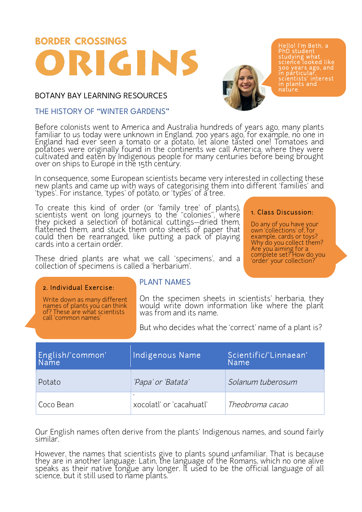# **BORDER CROSSINGS** GINS

BOTANY BAY LEARNING RESOURCES

## THE HISTORY OF "WINTER GARDENS"

Before colonists went to America and Australia hundreds of years ago, many plants<br>familiar to us today were unknown in England. 700 years ago, for example, no one in England had ever seen a tomato or a potato, let alone tasted one! Tomatoes and potatoes were originally found in the continents we call America, where they were cultivated and eaten by Indigenous people for many centuries before being brought over on ships to Europe in the 15th century.

In consequence, some European scientists became very interested in collecting these new plants and came up with ways of categorising them into different 'families' and 'types'. For instance, 'types' of potato, or 'types' of a tree.

To create this kind of order (or 'family tree' of plants),<br>scientists went on long journeys to the "colonies", where they picked a selection of botanical cuttings—dried them, flattened them, and stuck them onto sheets of paper that could then be rearranged, like putting a pack of playing<br>cards into a certain order.

These dried plants are what we call 'specimens', and a collection of specimens is called a 'herbarium'.

#### 2. Individual Exercise:

Write down as many different names of plants you can think of? These are what scientists call 'common names'

## PLANT NAMES

On the specimen sheets in scientists' herbaria, they would write down information like where the plant was from and its name.

But who decides what the 'correct' name of a plant is?

| English/'common'<br>Name | Indigenous Name          | Scientific/'Linnaean'<br>Name |
|--------------------------|--------------------------|-------------------------------|
| Potato                   | 'Papa' or 'Batata'       | Solanum tuberosum             |
| Coco Bean                | xocolatl' or 'cacahuatl' | Theobroma cacao               |

Our English names often derive from the plants' Indigenous names, and sound fairly similar.

However, the names that scientists give to plants sound unfamiliar. That is because they are in another language: Latin, the language of the Romans, which no one alive speaks as their native tongue any longer. It used to be the official language of all science, but it still used to name plants.



## 1. Class Discussion:

Do any of you have your own 'collections' of, for example, cards or toys? Why do you collect them? Are you aiming for a complete set? How do you 'order' your collection?